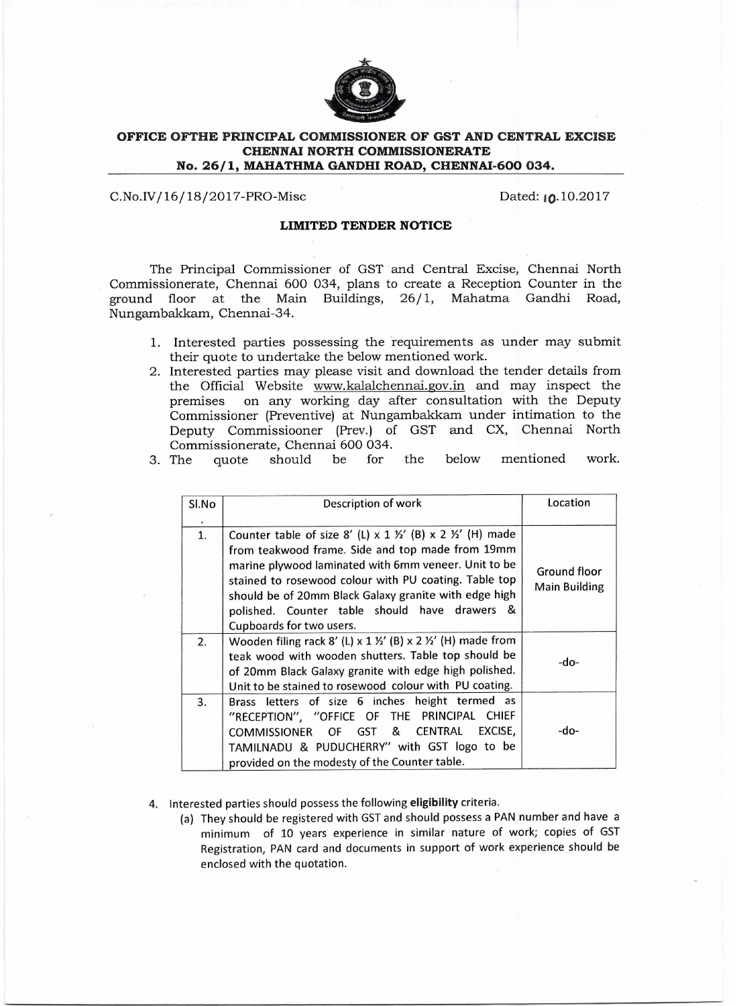

## **OFFICE OFTHE PRINCIPAL COMMISSIONER OF GST AND CENTRAL EXCISE CHENNAI NORTH COMMISSIONERATE No. 26/1, MAHATHMA GANDHI ROAD, CHENNAI-600 034.**

C.No.IV/16/18/2017-PRO-Misc Dated: 10.10.2017

## **LIMITED TENDER NOTICE**

The Principal Commissioner of GST and Central Excise, Chennai North Commissionerate, Chennai 600 034, plans to create a Reception Counter in the ground floor at the Main Buildings, 26/1, Mahatma Gandhi Road, Nungambakkam, Chennai-34.

- 1. Interested parties possessing the requirements as under may submit their quote to undertake the below mentioned work.
- 2. Interested parties may please visit and download the tender details from the Official Website www.kalalchennai.gov.in and may inspect the premises on any working day after consultation with the Deputy on any working day after consultation with the Deputy Commissioner (Preventive) at Nungambakkam under intimation to the Deputy Commissiooner (Prey.) of GST and CX, Chennai North Commissionerate, Chennai 600 034.

|  | Commissionerate, Chemica 000 00 i. |  |  |                                                      |  |
|--|------------------------------------|--|--|------------------------------------------------------|--|
|  |                                    |  |  | 3. The quote should be for the below mentioned work. |  |

| Sl.No | Description of work                                                                                                                                                                                                                                                                                                                                                    | Location                             |
|-------|------------------------------------------------------------------------------------------------------------------------------------------------------------------------------------------------------------------------------------------------------------------------------------------------------------------------------------------------------------------------|--------------------------------------|
| 1.    | Counter table of size 8' (L) x 1 1/2' (B) x 2 1/2' (H) made<br>from teakwood frame. Side and top made from 19mm<br>marine plywood laminated with 6mm veneer. Unit to be<br>stained to rosewood colour with PU coating. Table top<br>should be of 20mm Black Galaxy granite with edge high<br>polished. Counter table should have drawers &<br>Cupboards for two users. | Ground floor<br><b>Main Building</b> |
| 2.    | Wooden filing rack 8' (L) x 1 $\frac{1}{2}$ ' (B) x 2 $\frac{1}{2}$ ' (H) made from<br>teak wood with wooden shutters. Table top should be<br>of 20mm Black Galaxy granite with edge high polished.<br>Unit to be stained to rosewood colour with PU coating.                                                                                                          | -do-                                 |
| 3.    | Brass letters of size 6 inches height termed<br>as<br>"RECEPTION", "OFFICE OF THE PRINCIPAL CHIEF<br>COMMISSIONER OF GST & CENTRAL EXCISE,<br>TAMILNADU & PUDUCHERRY" with GST logo to be<br>provided on the modesty of the Counter table.                                                                                                                             | $-do-$                               |

- 4. Interested parties should possess the following **eligibility** criteria.
	- (a) They should be registered with GST and should possess a PAN number and have a minimum of 10 years experience in similar nature of work; copies of GST Registration, PAN card and documents in support of work experience should be enclosed with the quotation.